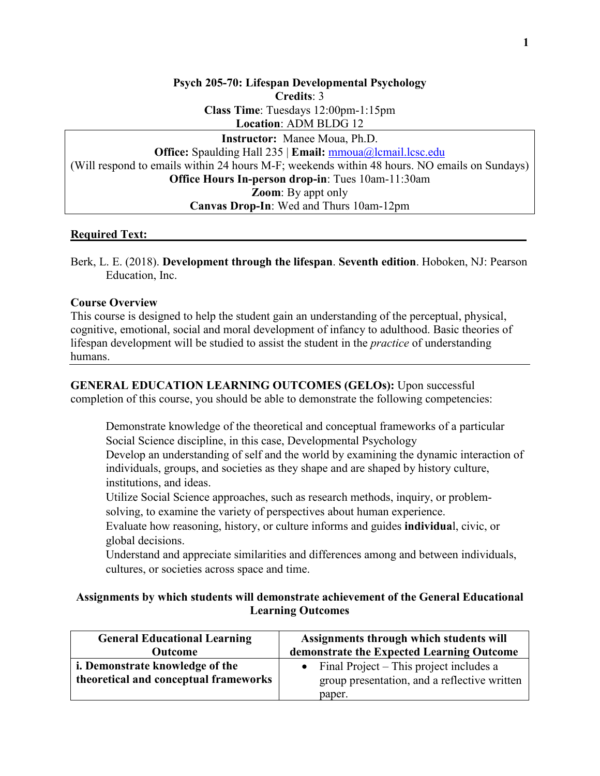**Psych 205-70: Lifespan Developmental Psychology Credits**: 3 **Class Time**: Tuesdays 12:00pm-1:15pm **Location**: ADM BLDG 12 **Instructor:** Manee Moua, Ph.D. **Office:** Spaulding Hall 235 | **Email:** [mmoua@lcmail.lcsc.edu](mailto:mmoua@lcmail.lcsc.edu) (Will respond to emails within 24 hours M-F; weekends within 48 hours. NO emails on Sundays) **Office Hours In-person drop-in**: Tues 10am-11:30am **Zoom**: By appt only **Canvas Drop-In**: Wed and Thurs 10am-12pm

### **Required Text:**

Berk, L. E. (2018). **Development through the lifespan**. **Seventh edition**. Hoboken, NJ: Pearson Education, Inc.

### **Course Overview**

This course is designed to help the student gain an understanding of the perceptual, physical, cognitive, emotional, social and moral development of infancy to adulthood. Basic theories of lifespan development will be studied to assist the student in the *practice* of understanding humans.

**GENERAL EDUCATION LEARNING OUTCOMES (GELOs):** Upon successful completion of this course, you should be able to demonstrate the following competencies:

Demonstrate knowledge of the theoretical and conceptual frameworks of a particular Social Science discipline, in this case, Developmental Psychology

Develop an understanding of self and the world by examining the dynamic interaction of individuals, groups, and societies as they shape and are shaped by history culture, institutions, and ideas.

Utilize Social Science approaches, such as research methods, inquiry, or problemsolving, to examine the variety of perspectives about human experience.

Evaluate how reasoning, history, or culture informs and guides **individua**l, civic, or global decisions.

Understand and appreciate similarities and differences among and between individuals, cultures, or societies across space and time.

### **Assignments by which students will demonstrate achievement of the General Educational Learning Outcomes**

| <b>General Educational Learning</b>                                      | Assignments through which students will                                                           |
|--------------------------------------------------------------------------|---------------------------------------------------------------------------------------------------|
| <b>Outcome</b>                                                           | demonstrate the Expected Learning Outcome                                                         |
| i. Demonstrate knowledge of the<br>theoretical and conceptual frameworks | Final Project – This project includes a<br>group presentation, and a reflective written<br>paper. |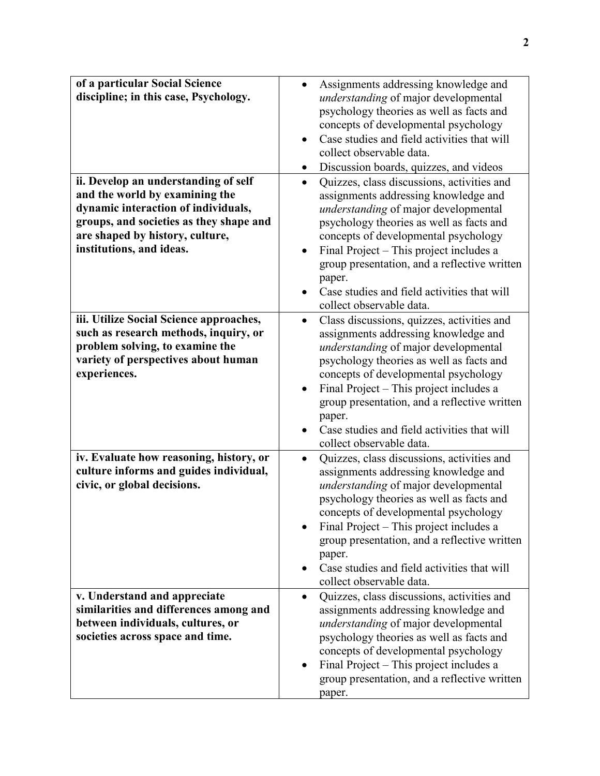| of a particular Social Science<br>discipline; in this case, Psychology.<br>ii. Develop an understanding of self<br>and the world by examining the<br>dynamic interaction of individuals,<br>groups, and societies as they shape and<br>are shaped by history, culture,<br>institutions, and ideas. | Assignments addressing knowledge and<br>$\bullet$<br>understanding of major developmental<br>psychology theories as well as facts and<br>concepts of developmental psychology<br>Case studies and field activities that will<br>collect observable data.<br>Discussion boards, quizzes, and videos<br>٠<br>Quizzes, class discussions, activities and<br>$\bullet$<br>assignments addressing knowledge and<br>understanding of major developmental<br>psychology theories as well as facts and<br>concepts of developmental psychology<br>Final Project - This project includes a<br>$\bullet$<br>group presentation, and a reflective written |
|----------------------------------------------------------------------------------------------------------------------------------------------------------------------------------------------------------------------------------------------------------------------------------------------------|------------------------------------------------------------------------------------------------------------------------------------------------------------------------------------------------------------------------------------------------------------------------------------------------------------------------------------------------------------------------------------------------------------------------------------------------------------------------------------------------------------------------------------------------------------------------------------------------------------------------------------------------|
|                                                                                                                                                                                                                                                                                                    | paper.<br>Case studies and field activities that will<br>collect observable data.                                                                                                                                                                                                                                                                                                                                                                                                                                                                                                                                                              |
| iii. Utilize Social Science approaches,<br>such as research methods, inquiry, or<br>problem solving, to examine the<br>variety of perspectives about human<br>experiences.                                                                                                                         | Class discussions, quizzes, activities and<br>$\bullet$<br>assignments addressing knowledge and<br>understanding of major developmental<br>psychology theories as well as facts and<br>concepts of developmental psychology<br>Final Project – This project includes a<br>$\bullet$<br>group presentation, and a reflective written<br>paper.<br>Case studies and field activities that will<br>collect observable data.                                                                                                                                                                                                                       |
| iv. Evaluate how reasoning, history, or<br>culture informs and guides individual,<br>civic, or global decisions.                                                                                                                                                                                   | Quizzes, class discussions, activities and<br>$\bullet$<br>assignments addressing knowledge and<br>understanding of major developmental<br>psychology theories as well as facts and<br>concepts of developmental psychology<br>Final Project - This project includes a<br>group presentation, and a reflective written<br>paper.<br>Case studies and field activities that will<br>collect observable data.                                                                                                                                                                                                                                    |
| v. Understand and appreciate<br>similarities and differences among and<br>between individuals, cultures, or<br>societies across space and time.                                                                                                                                                    | Quizzes, class discussions, activities and<br>$\bullet$<br>assignments addressing knowledge and<br>understanding of major developmental<br>psychology theories as well as facts and<br>concepts of developmental psychology<br>Final Project - This project includes a<br>$\bullet$<br>group presentation, and a reflective written<br>paper.                                                                                                                                                                                                                                                                                                  |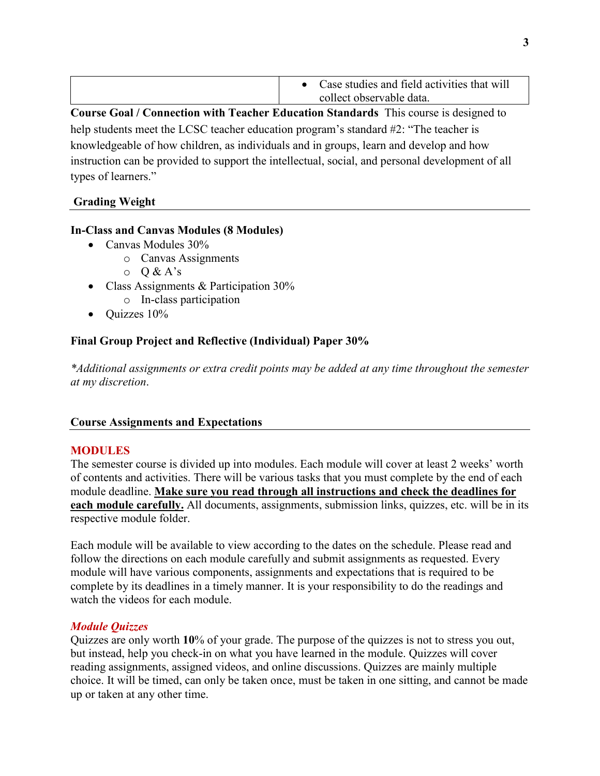| Case studies and field activities that will |
|---------------------------------------------|
| collect observable data.                    |

**Course Goal / Connection with Teacher Education Standards** This course is designed to help students meet the LCSC teacher education program's standard #2: "The teacher is knowledgeable of how children, as individuals and in groups, learn and develop and how instruction can be provided to support the intellectual, social, and personal development of all types of learners."

## **Grading Weight**

### **In-Class and Canvas Modules (8 Modules)**

- Canvas Modules 30%
	- o Canvas Assignments
	- $O & A's$
- Class Assignments & Participation 30%
	- o In-class participation
- Ouizzes  $10\%$

# **Final Group Project and Reflective (Individual) Paper 30%**

*\*Additional assignments or extra credit points may be added at any time throughout the semester at my discretion*.

### **Course Assignments and Expectations**

## **MODULES**

The semester course is divided up into modules. Each module will cover at least 2 weeks' worth of contents and activities. There will be various tasks that you must complete by the end of each module deadline. **Make sure you read through all instructions and check the deadlines for each module carefully.** All documents, assignments, submission links, quizzes, etc. will be in its respective module folder.

Each module will be available to view according to the dates on the schedule. Please read and follow the directions on each module carefully and submit assignments as requested. Every module will have various components, assignments and expectations that is required to be complete by its deadlines in a timely manner. It is your responsibility to do the readings and watch the videos for each module.

## *Module Quizzes*

Quizzes are only worth **10**% of your grade. The purpose of the quizzes is not to stress you out, but instead, help you check-in on what you have learned in the module. Quizzes will cover reading assignments, assigned videos, and online discussions. Quizzes are mainly multiple choice. It will be timed, can only be taken once, must be taken in one sitting, and cannot be made up or taken at any other time.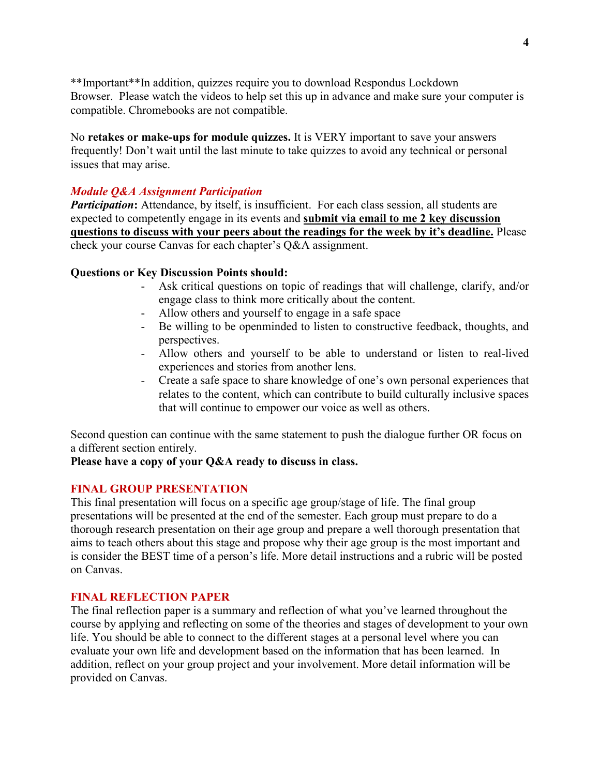\*\*Important\*\*In addition, quizzes require you to download Respondus Lockdown Browser. Please watch the videos to help set this up in advance and make sure your computer is compatible. Chromebooks are not compatible.

No **retakes or make-ups for module quizzes.** It is VERY important to save your answers frequently! Don't wait until the last minute to take quizzes to avoid any technical or personal issues that may arise.

### *Module Q&A Assignment Participation*

**Participation:** Attendance, by itself, is insufficient. For each class session, all students are expected to competently engage in its events and **submit via email to me 2 key discussion questions to discuss with your peers about the readings for the week by it's deadline.** Please check your course Canvas for each chapter's Q&A assignment.

### **Questions or Key Discussion Points should:**

- Ask critical questions on topic of readings that will challenge, clarify, and/or engage class to think more critically about the content.
- Allow others and yourself to engage in a safe space
- Be willing to be openminded to listen to constructive feedback, thoughts, and perspectives.
- Allow others and yourself to be able to understand or listen to real-lived experiences and stories from another lens.
- Create a safe space to share knowledge of one's own personal experiences that relates to the content, which can contribute to build culturally inclusive spaces that will continue to empower our voice as well as others.

Second question can continue with the same statement to push the dialogue further OR focus on a different section entirely.

### **Please have a copy of your Q&A ready to discuss in class.**

## **FINAL GROUP PRESENTATION**

This final presentation will focus on a specific age group/stage of life. The final group presentations will be presented at the end of the semester. Each group must prepare to do a thorough research presentation on their age group and prepare a well thorough presentation that aims to teach others about this stage and propose why their age group is the most important and is consider the BEST time of a person's life. More detail instructions and a rubric will be posted on Canvas.

### **FINAL REFLECTION PAPER**

The final reflection paper is a summary and reflection of what you've learned throughout the course by applying and reflecting on some of the theories and stages of development to your own life. You should be able to connect to the different stages at a personal level where you can evaluate your own life and development based on the information that has been learned. In addition, reflect on your group project and your involvement. More detail information will be provided on Canvas.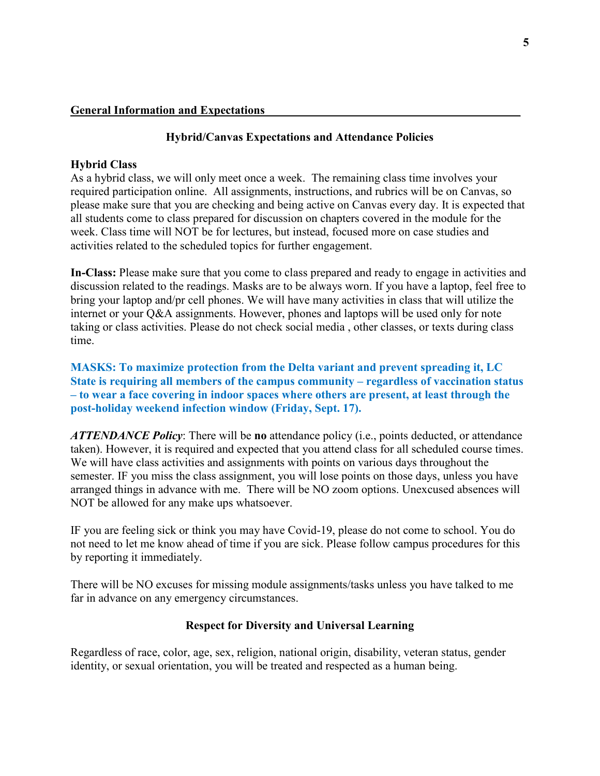### **Hybrid/Canvas Expectations and Attendance Policies**

### **Hybrid Class**

As a hybrid class, we will only meet once a week. The remaining class time involves your required participation online. All assignments, instructions, and rubrics will be on Canvas, so please make sure that you are checking and being active on Canvas every day. It is expected that all students come to class prepared for discussion on chapters covered in the module for the week. Class time will NOT be for lectures, but instead, focused more on case studies and activities related to the scheduled topics for further engagement.

**In-Class:** Please make sure that you come to class prepared and ready to engage in activities and discussion related to the readings. Masks are to be always worn. If you have a laptop, feel free to bring your laptop and/pr cell phones. We will have many activities in class that will utilize the internet or your Q&A assignments. However, phones and laptops will be used only for note taking or class activities. Please do not check social media , other classes, or texts during class time.

**MASKS: To maximize protection from the Delta variant and prevent spreading it, LC State is requiring all members of the campus community – regardless of vaccination status – to wear a face covering in indoor spaces where others are present, at least through the post-holiday weekend infection window (Friday, Sept. 17).**

*ATTENDANCE Policy*: There will be **no** attendance policy (i.e., points deducted, or attendance taken). However, it is required and expected that you attend class for all scheduled course times. We will have class activities and assignments with points on various days throughout the semester. IF you miss the class assignment, you will lose points on those days, unless you have arranged things in advance with me. There will be NO zoom options. Unexcused absences will NOT be allowed for any make ups whatsoever.

IF you are feeling sick or think you may have Covid-19, please do not come to school. You do not need to let me know ahead of time if you are sick. Please follow campus procedures for this by reporting it immediately.

There will be NO excuses for missing module assignments/tasks unless you have talked to me far in advance on any emergency circumstances.

## **Respect for Diversity and Universal Learning**

Regardless of race, color, age, sex, religion, national origin, disability, veteran status, gender identity, or sexual orientation, you will be treated and respected as a human being.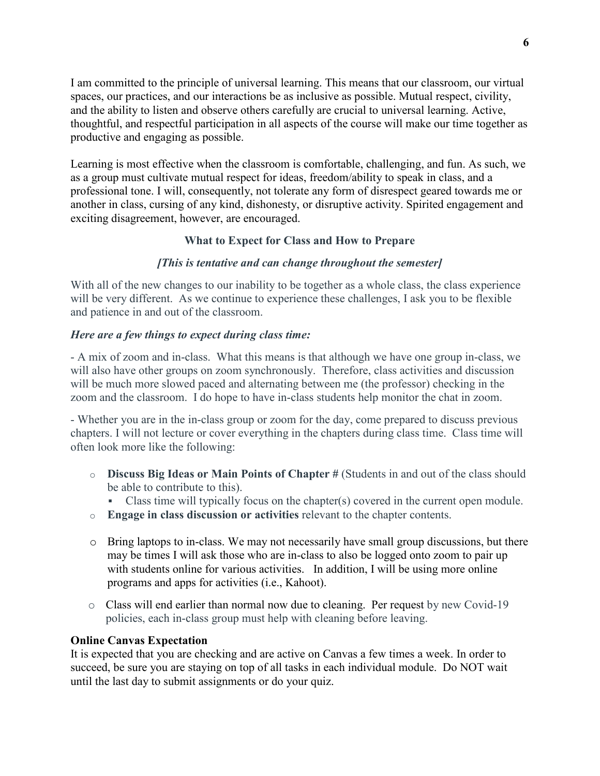I am committed to the principle of universal learning. This means that our classroom, our virtual spaces, our practices, and our interactions be as inclusive as possible. Mutual respect, civility, and the ability to listen and observe others carefully are crucial to universal learning. Active, thoughtful, and respectful participation in all aspects of the course will make our time together as productive and engaging as possible.

Learning is most effective when the classroom is comfortable, challenging, and fun. As such, we as a group must cultivate mutual respect for ideas, freedom/ability to speak in class, and a professional tone. I will, consequently, not tolerate any form of disrespect geared towards me or another in class, cursing of any kind, dishonesty, or disruptive activity. Spirited engagement and exciting disagreement, however, are encouraged.

## **What to Expect for Class and How to Prepare**

### *[This is tentative and can change throughout the semester]*

With all of the new changes to our inability to be together as a whole class, the class experience will be very different. As we continue to experience these challenges, I ask you to be flexible and patience in and out of the classroom.

### *Here are a few things to expect during class time:*

- A mix of zoom and in-class. What this means is that although we have one group in-class, we will also have other groups on zoom synchronously. Therefore, class activities and discussion will be much more slowed paced and alternating between me (the professor) checking in the zoom and the classroom. I do hope to have in-class students help monitor the chat in zoom.

- Whether you are in the in-class group or zoom for the day, come prepared to discuss previous chapters. I will not lecture or cover everything in the chapters during class time. Class time will often look more like the following:

- o **Discuss Big Ideas or Main Points of Chapter #** (Students in and out of the class should be able to contribute to this).
	- Class time will typically focus on the chapter(s) covered in the current open module.
- o **Engage in class discussion or activities** relevant to the chapter contents.
- $\circ$  Bring laptops to in-class. We may not necessarily have small group discussions, but there may be times I will ask those who are in-class to also be logged onto zoom to pair up with students online for various activities. In addition, I will be using more online programs and apps for activities (i.e., Kahoot).
- o Class will end earlier than normal now due to cleaning. Per request by new Covid-19 policies, each in-class group must help with cleaning before leaving.

### **Online Canvas Expectation**

It is expected that you are checking and are active on Canvas a few times a week. In order to succeed, be sure you are staying on top of all tasks in each individual module. Do NOT wait until the last day to submit assignments or do your quiz.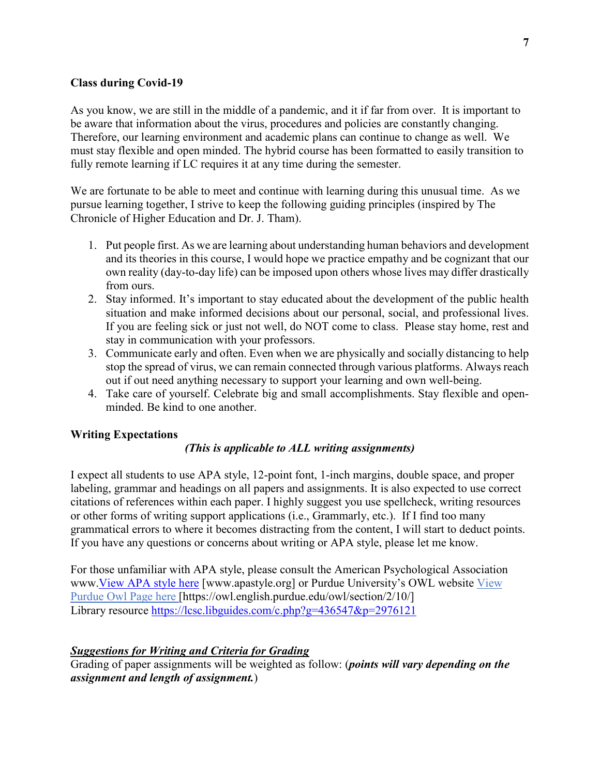### **Class during Covid-19**

As you know, we are still in the middle of a pandemic, and it if far from over. It is important to be aware that information about the virus, procedures and policies are constantly changing. Therefore, our learning environment and academic plans can continue to change as well. We must stay flexible and open minded. The hybrid course has been formatted to easily transition to fully remote learning if LC requires it at any time during the semester.

We are fortunate to be able to meet and continue with learning during this unusual time. As we pursue learning together, I strive to keep the following guiding principles (inspired by The Chronicle of Higher Education and Dr. J. Tham).

- 1. Put people first. As we are learning about understanding human behaviors and development and its theories in this course, I would hope we practice empathy and be cognizant that our own reality (day-to-day life) can be imposed upon others whose lives may differ drastically from ours.
- 2. Stay informed. It's important to stay educated about the development of the public health situation and make informed decisions about our personal, social, and professional lives. If you are feeling sick or just not well, do NOT come to class. Please stay home, rest and stay in communication with your professors.
- 3. Communicate early and often. Even when we are physically and socially distancing to help stop the spread of virus, we can remain connected through various platforms. Always reach out if out need anything necessary to support your learning and own well-being.
- 4. Take care of yourself. Celebrate big and small accomplishments. Stay flexible and openminded. Be kind to one another.

## **Writing Expectations**

### *(This is applicable to ALL writing assignments)*

I expect all students to use APA style, 12-point font, 1-inch margins, double space, and proper labeling, grammar and headings on all papers and assignments. It is also expected to use correct citations of references within each paper. I highly suggest you use spellcheck, writing resources or other forms of writing support applications (i.e., Grammarly, etc.). If I find too many grammatical errors to where it becomes distracting from the content, I will start to deduct points. If you have any questions or concerns about writing or APA style, please let me know.

For those unfamiliar with APA style, please consult the American Psychological Association www[.View APA style here](http://www.apastyle.org/) [www.apastyle.org] or Purdue University's OWL website [View](https://owl.english.purdue.edu/owl/section/2/10/))  [Purdue Owl Page here](https://owl.english.purdue.edu/owl/section/2/10/)) [https://owl.english.purdue.edu/owl/section/2/10/] Library resource<https://lcsc.libguides.com/c.php?g=436547&p=2976121>

### *Suggestions for Writing and Criteria for Grading*

Grading of paper assignments will be weighted as follow: (*points will vary depending on the assignment and length of assignment.*)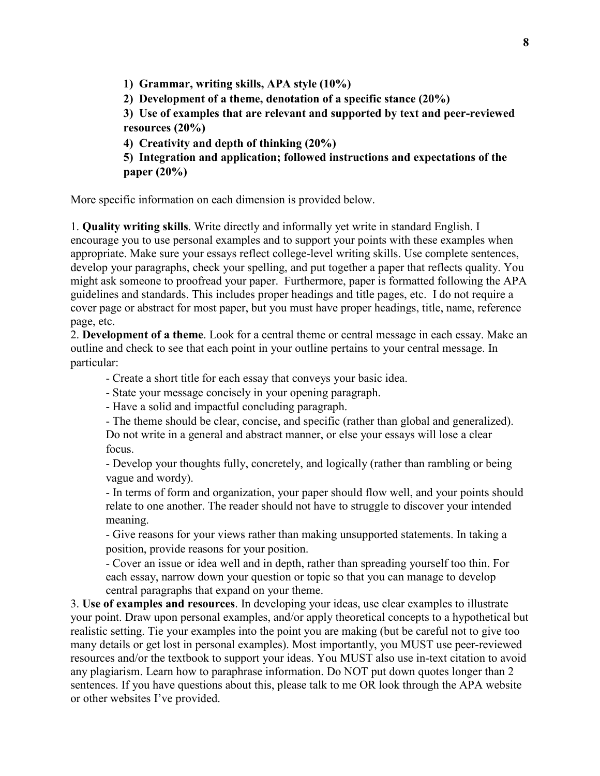**1) Grammar, writing skills, APA style (10%)** 

**2) Development of a theme, denotation of a specific stance (20%)** 

**3) Use of examples that are relevant and supported by text and peer-reviewed resources (20%)** 

**4) Creativity and depth of thinking (20%)** 

**5) Integration and application; followed instructions and expectations of the paper (20%)** 

More specific information on each dimension is provided below.

1. **Quality writing skills**. Write directly and informally yet write in standard English. I encourage you to use personal examples and to support your points with these examples when appropriate. Make sure your essays reflect college-level writing skills. Use complete sentences, develop your paragraphs, check your spelling, and put together a paper that reflects quality. You might ask someone to proofread your paper. Furthermore, paper is formatted following the APA guidelines and standards. This includes proper headings and title pages, etc. I do not require a cover page or abstract for most paper, but you must have proper headings, title, name, reference page, etc.

2. **Development of a theme**. Look for a central theme or central message in each essay. Make an outline and check to see that each point in your outline pertains to your central message. In particular:

- Create a short title for each essay that conveys your basic idea.

- State your message concisely in your opening paragraph.

- Have a solid and impactful concluding paragraph.

- The theme should be clear, concise, and specific (rather than global and generalized).

Do not write in a general and abstract manner, or else your essays will lose a clear focus.

- Develop your thoughts fully, concretely, and logically (rather than rambling or being vague and wordy).

- In terms of form and organization, your paper should flow well, and your points should relate to one another. The reader should not have to struggle to discover your intended meaning.

- Give reasons for your views rather than making unsupported statements. In taking a position, provide reasons for your position.

- Cover an issue or idea well and in depth, rather than spreading yourself too thin. For each essay, narrow down your question or topic so that you can manage to develop central paragraphs that expand on your theme.

3. **Use of examples and resources**. In developing your ideas, use clear examples to illustrate your point. Draw upon personal examples, and/or apply theoretical concepts to a hypothetical but realistic setting. Tie your examples into the point you are making (but be careful not to give too many details or get lost in personal examples). Most importantly, you MUST use peer-reviewed resources and/or the textbook to support your ideas. You MUST also use in-text citation to avoid any plagiarism. Learn how to paraphrase information. Do NOT put down quotes longer than 2 sentences. If you have questions about this, please talk to me OR look through the APA website or other websites I've provided.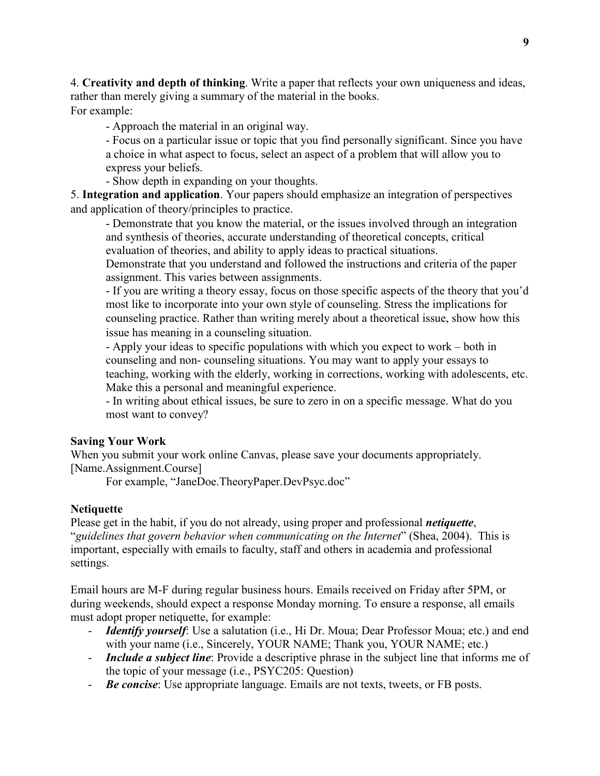4. **Creativity and depth of thinking**. Write a paper that reflects your own uniqueness and ideas, rather than merely giving a summary of the material in the books. For example:

- Approach the material in an original way.

- Focus on a particular issue or topic that you find personally significant. Since you have a choice in what aspect to focus, select an aspect of a problem that will allow you to express your beliefs.

- Show depth in expanding on your thoughts.

5. **Integration and application**. Your papers should emphasize an integration of perspectives and application of theory/principles to practice.

- Demonstrate that you know the material, or the issues involved through an integration and synthesis of theories, accurate understanding of theoretical concepts, critical evaluation of theories, and ability to apply ideas to practical situations.

Demonstrate that you understand and followed the instructions and criteria of the paper assignment. This varies between assignments.

- If you are writing a theory essay, focus on those specific aspects of the theory that you'd most like to incorporate into your own style of counseling. Stress the implications for counseling practice. Rather than writing merely about a theoretical issue, show how this issue has meaning in a counseling situation.

- Apply your ideas to specific populations with which you expect to work – both in counseling and non- counseling situations. You may want to apply your essays to teaching, working with the elderly, working in corrections, working with adolescents, etc. Make this a personal and meaningful experience.

- In writing about ethical issues, be sure to zero in on a specific message. What do you most want to convey?

### **Saving Your Work**

When you submit your work online Canvas, please save your documents appropriately. [Name.Assignment.Course]

For example, "JaneDoe.TheoryPaper.DevPsyc.doc"

## **Netiquette**

Please get in the habit, if you do not already, using proper and professional *netiquette*, "*guidelines that govern behavior when communicating on the Internet*" (Shea, 2004). This is important, especially with emails to faculty, staff and others in academia and professional settings.

Email hours are M-F during regular business hours. Emails received on Friday after 5PM, or during weekends, should expect a response Monday morning. To ensure a response, all emails must adopt proper netiquette, for example:

- *Identify yourself*: Use a salutation (i.e., Hi Dr. Moua; Dear Professor Moua; etc.) and end with your name (i.e., Sincerely, YOUR NAME; Thank you, YOUR NAME; etc.)
- *Include a subject line*: Provide a descriptive phrase in the subject line that informs me of the topic of your message (i.e., PSYC205: Question)
- *Be concise*: Use appropriate language. Emails are not texts, tweets, or FB posts.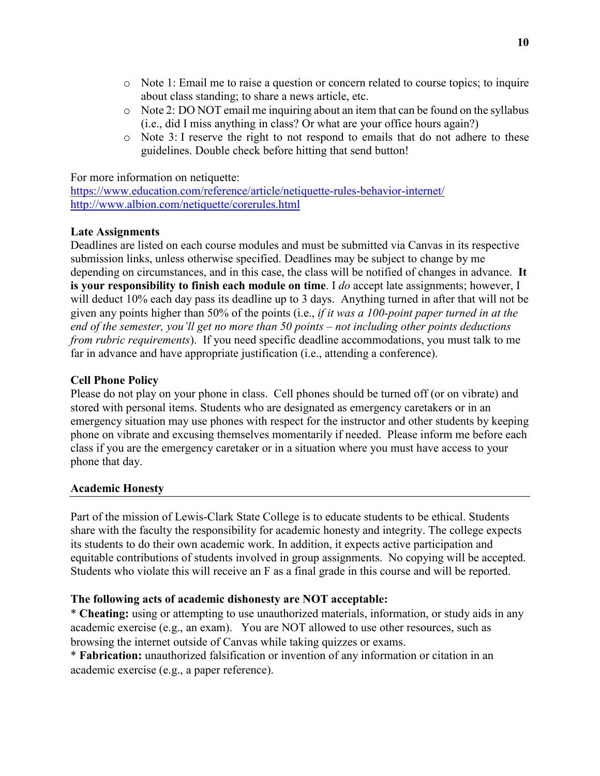- o Note 1: Email me to raise a question or concern related to course topics; to inquire about class standing; to share a news article, etc.
- o Note 2: DO NOT email me inquiring about an item that can be found on the syllabus (i.e., did I miss anything in class? Or what are your office hours again?)
- $\circ$  Note 3: I reserve the right to not respond to emails that do not adhere to these guidelines. Double check before hitting that send button!

For more information on netiquette:

<https://www.education.com/reference/article/netiquette-rules-behavior-internet/> <http://www.albion.com/netiquette/corerules.html>

### **Late Assignments**

Deadlines are listed on each course modules and must be submitted via Canvas in its respective submission links, unless otherwise specified. Deadlines may be subject to change by me depending on circumstances, and in this case, the class will be notified of changes in advance. **It is your responsibility to finish each module on time**. I *do* accept late assignments; however, I will deduct 10% each day pass its deadline up to 3 days. Anything turned in after that will not be given any points higher than 50% of the points (i.e., *if it was a 100-point paper turned in at the end of the semester, you'll get no more than 50 points – not including other points deductions from rubric requirements*). If you need specific deadline accommodations, you must talk to me far in advance and have appropriate justification (i.e., attending a conference).

### **Cell Phone Policy**

Please do not play on your phone in class. Cell phones should be turned off (or on vibrate) and stored with personal items. Students who are designated as emergency caretakers or in an emergency situation may use phones with respect for the instructor and other students by keeping phone on vibrate and excusing themselves momentarily if needed. Please inform me before each class if you are the emergency caretaker or in a situation where you must have access to your phone that day.

### **Academic Honesty**

Part of the mission of Lewis-Clark State College is to educate students to be ethical. Students share with the faculty the responsibility for academic honesty and integrity. The college expects its students to do their own academic work. In addition, it expects active participation and equitable contributions of students involved in group assignments. No copying will be accepted. Students who violate this will receive an F as a final grade in this course and will be reported.

### **The following acts of academic dishonesty are NOT acceptable:**

\* **Cheating:** using or attempting to use unauthorized materials, information, or study aids in any academic exercise (e.g., an exam). You are NOT allowed to use other resources, such as browsing the internet outside of Canvas while taking quizzes or exams.

\* **Fabrication:** unauthorized falsification or invention of any information or citation in an academic exercise (e.g., a paper reference).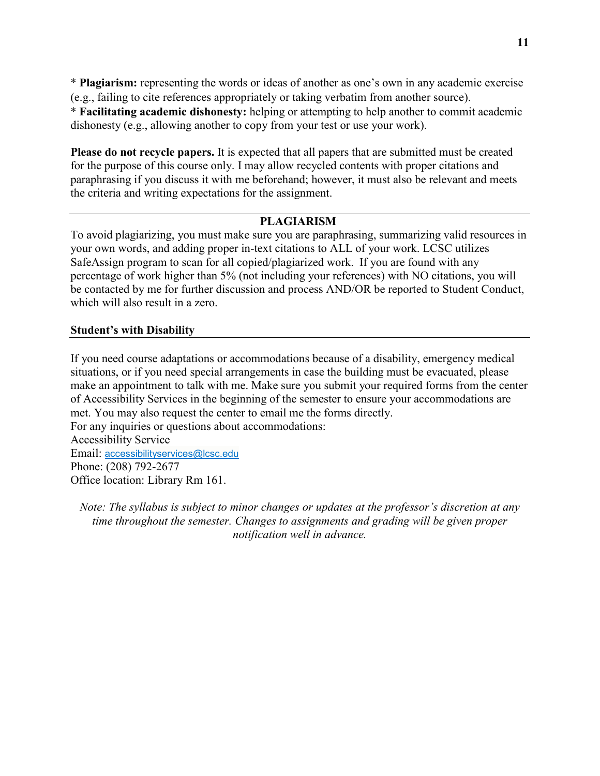\* **Plagiarism:** representing the words or ideas of another as one's own in any academic exercise (e.g., failing to cite references appropriately or taking verbatim from another source). \* **Facilitating academic dishonesty:** helping or attempting to help another to commit academic dishonesty (e.g., allowing another to copy from your test or use your work).

**Please do not recycle papers.** It is expected that all papers that are submitted must be created for the purpose of this course only. I may allow recycled contents with proper citations and paraphrasing if you discuss it with me beforehand; however, it must also be relevant and meets the criteria and writing expectations for the assignment.

### **PLAGIARISM**

To avoid plagiarizing, you must make sure you are paraphrasing, summarizing valid resources in your own words, and adding proper in-text citations to ALL of your work. LCSC utilizes SafeAssign program to scan for all copied/plagiarized work. If you are found with any percentage of work higher than 5% (not including your references) with NO citations, you will be contacted by me for further discussion and process AND/OR be reported to Student Conduct, which will also result in a zero.

### **Student's with Disability**

If you need course adaptations or accommodations because of a disability, emergency medical situations, or if you need special arrangements in case the building must be evacuated, please make an appointment to talk with me. Make sure you submit your required forms from the center of Accessibility Services in the beginning of the semester to ensure your accommodations are met. You may also request the center to email me the forms directly. For any inquiries or questions about accommodations: Accessibility Service Email: [accessibilityservices@lcsc.edu](mailto:accessibilityservices@lcsc.edu) Phone: (208) 792-2677 Office location: Library Rm 161.

*Note: The syllabus is subject to minor changes or updates at the professor's discretion at any time throughout the semester. Changes to assignments and grading will be given proper notification well in advance.*